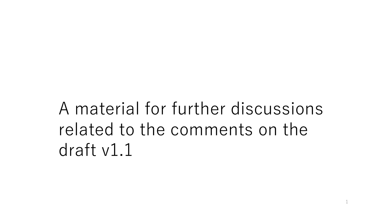## A material for further discussions related to the comments on the draft v1.1

1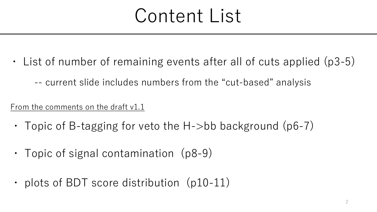# Content List

- List of number of remaining events after all of cuts applied (p3-5)
	- -- current slide includes numbers from the "cut-based" analysis

From the comments on the draft v1.1

- Topic of B-tagging for veto the H- $>$ bb background (p6-7)
- ・ Topic of signal contamination (p8-9)
- plots of BDT score distribution (p10-11)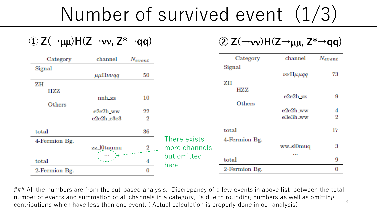Number of survived event (1/3)

 $\Phi$   $\mathsf{Z}(\rightarrow \mu\mu)$ H( $\mathsf{Z}\rightarrow \nu\nu$ ,  $\mathsf{Z}^* \rightarrow \mathsf{qq}$ )

| Category      | channel                                  | $N_{event}$ |                     |
|---------------|------------------------------------------|-------------|---------------------|
| Signal        |                                          |             |                     |
|               | $\mu\mu$ H $\nu\nu$ qq                   | 50          |                     |
| ZΗ            |                                          |             |                     |
| HZZ.          |                                          |             |                     |
|               | nnh_zz                                   | 10          |                     |
| Others        |                                          |             |                     |
|               | $e2e2h$ ww                               | 22          |                     |
|               | $e2e2h$ <sub><math>-</math></sub> $e3e3$ | 2           |                     |
| total         |                                          | 36          |                     |
| 4-Fermion Bg. |                                          |             | There exists        |
|               | zz_l0taumu                               | 2           | more channels       |
| total         |                                          | 4           | but omitted<br>here |
| 2-Fermion Bg. |                                          |             |                     |

 $\mathcal{L}(\rightarrow$ **vv**) $H(Z \rightarrow \mu\mu, Z^* \rightarrow qq)$ 

| Category      | channel                   | Nevent |
|---------------|---------------------------|--------|
| Signal        |                           |        |
|               | $\nu\nu$ H $\mu$ $\mu$ qq | 73     |
| ZΗ            |                           |        |
| HZ Z          |                           |        |
|               | e2e2h zz                  | 9      |
| Others        |                           |        |
|               | e2e2h_ww                  | 4      |
|               | e3e3h_ww                  | 2      |
| total         |                           | 17     |
| 4-Fermion Bg. |                           |        |
|               | ww_sl0muq                 | 3      |
|               | .                         |        |
| total         |                           | 9      |
| 2-Fermion Bg. |                           |        |

### All the numbers are from the cut-based analysis. Discrepancy of a few events in above list between the total number of events and summation of all channels in a category, is due to rounding numbers as well as omitting contributions which have less than one event. ( Actual calculation is properly done in our analysis) 3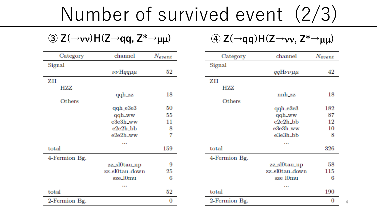## Number of survived event (2/3)

| Category      | channel               | $N_{event}$ |
|---------------|-----------------------|-------------|
| Signal        |                       |             |
|               | $\nu\nu$ Hqq $\mu\mu$ | 52          |
| ZΗ            |                       |             |
| HZZ           |                       |             |
|               | qqh_zz                | 18          |
| Others        |                       |             |
|               | qqh e3e3              | 50          |
|               | qqh_ww                | 55          |
|               | e3e3h_ww              | 11          |
|               | e2e2h_bb              | 8           |
|               | $e2e2h_ww$            | 7           |
|               |                       |             |
| total         |                       | 159         |
| 4-Fermion Bg. |                       |             |
|               | zz_sl0tau_up          | 9           |
|               | zz_sl0tau_down        | 25          |
|               | sze_l0mu              | 6           |
|               | a a a                 |             |
| total         |                       | 52          |
| 2-Fermion Bg  |                       | 0           |

**a**  $Z(\rightarrow v\mathbf{v})H(Z\rightarrow qq, Z^*\rightarrow \mu\mu)$  **a**  $Z(\rightarrow qq)H(Z\rightarrow vv, Z^*\rightarrow \mu\mu)$ 

| Category      | channel           | Nevent |
|---------------|-------------------|--------|
| Signal        |                   |        |
|               | $qqH\nu\nu\mu\mu$ | 42     |
| ZΗ            |                   |        |
| HZZ           |                   |        |
|               | nnh zz            | 18     |
| Others        |                   |        |
|               | $qqh_e3e3$        | 182    |
|               | qqh_ww            | 87     |
|               | e2e2h_bb          | 12     |
|               | e3e3h_ww          | 10     |
|               | e3e3h_bb          | 8      |
|               |                   |        |
| total         |                   | 326    |
| 4-Fermion Bg. |                   |        |
|               | zz_sl0tau_up      | 58     |
|               | zz_sl0tau_down    | 115    |
|               | sze 10mu          | 6      |
|               | a a a             |        |
| total         |                   | 190    |
| 2-Fermion Bg. |                   | O      |

4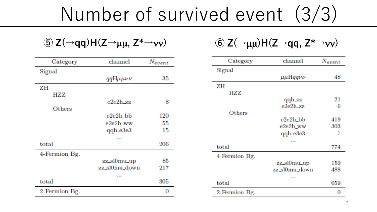# Number of survived event (3/3)

| Category      | channel               | $N_{event}$ |
|---------------|-----------------------|-------------|
| Signal        |                       |             |
|               | $qqH\mu\mu\nu\nu$     | 35          |
| ZΗ            |                       |             |
| HZZ.          |                       |             |
|               | $e2e2h$ <sub>zz</sub> | 8           |
| Others        |                       |             |
|               | e2e2h_bb              | 120         |
|               | $e2e2h_ww$            | 55          |
|               | qqh_e3e3              | 15          |
|               | a a s                 |             |
| total         |                       | 206         |
| 4-Fermion Bg. |                       |             |
|               | zz_sl0mu_up           | 85          |
|               | zz_sl0mu_down         | 217         |
|               | 8 H H                 |             |
| total         |                       | 305         |
| 2-Fermion Bg. |                       |             |

 $\textcircled{5}$  **Z**( $\rightarrow$ **qq**)H(**Z** $\rightarrow$  $\mu\mu$ , **Z\*** $\rightarrow$ *vv*) **6 Z**( $\rightarrow$  $\mu\mu$ )H(**Z** $\rightarrow$ **qq**, **Z\*** $\rightarrow$ *vv*)

| Category      | channel               | $N_{event}$ |
|---------------|-----------------------|-------------|
| Signal        |                       |             |
|               | $\mu\mu$ Hqqv $\nu$   | 48          |
| ΖH            |                       |             |
| HZZ           |                       |             |
|               | qqh_zz                | 21          |
|               | $e2e2h$ <sub>zz</sub> | 6           |
| Others        |                       |             |
|               | e2e2h_bb              | 419         |
|               | e2e2h_ww              | 303         |
|               | qqh_e3e3              | 7           |
|               | a an an               |             |
| total         |                       | 774         |
| 4-Fermion Bg. |                       |             |
|               | zz_sl0mu_up           | 159         |
|               | zz_sl0mu_down         | 488         |
|               | a a a                 |             |
| total         |                       | 659         |
| 2-Fermion Bg. |                       | 0           |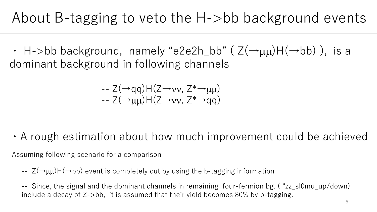• H->bb background, namely "e2e2h\_bb" ( $Z(\rightarrow \mu\mu)H(\rightarrow bb)$ ), is a dominant background in following channels

$$
\begin{array}{l} \text{-} Z(\rightarrow\text{qq})H(Z\rightarrow\text{vv},\ Z^*\rightarrow\text{µ}\mu)\\ \text{-} Z(\rightarrow\text{µ}\mu)H(Z\rightarrow\text{vv},\ Z^*\rightarrow\text{qq}) \end{array}
$$

・A rough estimation about how much improvement could be achieved

Assuming following scenario for a comparison

 $-I - Z(\rightarrow \mu\mu)H(\rightarrow b\bar{b})$  event is completely cut by using the b-tagging information

-- Since, the signal and the dominant channels in remaining four-fermion bg. ( "zz\_sl0mu\_up/down) include a decay of Z->bb, it is assumed that their yield becomes 80% by b-tagging.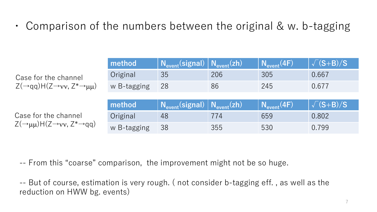・ Comparison of the numbers between the original & w. b-tagging

|                                                                                      | method      | $N_{event}(signal)   N_{event}(zh)$ |     | $N_{\text{event}}(4F)$ | $\sqrt{(S+B)/S}$ |
|--------------------------------------------------------------------------------------|-------------|-------------------------------------|-----|------------------------|------------------|
| Case for the channel<br>$Z(\rightarrow qq)H(Z\rightarrow vv, Z^*\rightarrow \mu\mu)$ | Original    | 35                                  | 206 | 305                    | 0.667            |
|                                                                                      | w B-tagging | 28                                  | 86  | 245                    | 0.677            |
|                                                                                      |             |                                     |     |                        |                  |
| Case for the channel                                                                 | method      | $N_{event}(signal)   N_{event}(zh)$ |     | $N_{\text{event}}(4F)$ | $\sqrt{(S+B)/S}$ |
|                                                                                      |             |                                     |     |                        |                  |
| $Z(\rightarrow \mu\mu)$ H(Z $\rightarrow$ vv, Z* $\rightarrow$ qq)                   | Original    | 48                                  | 774 | 659                    | 0.802            |

-- From this "coarse" comparison, the improvement might not be so huge.

-- But of course, estimation is very rough. ( not consider b-tagging eff. , as well as the reduction on HWW bg. events)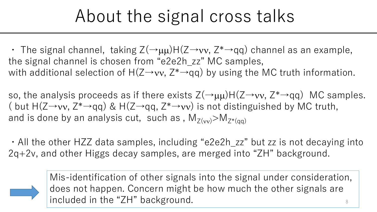## About the signal cross talks

• The signal channel, taking  $Z(\rightarrow \mu\mu)H(Z\rightarrow vv, Z^* \rightarrow qq)$  channel as an example, the signal channel is chosen from "e2e2h\_zz" MC samples, with additional selection of H(Z→vv, Z<sup>\*</sup>→qq) by using the MC truth information.

so, the analysis proceeds as if there exists  $Z(\rightarrow \mu\mu)H(Z\rightarrow vv, Z^* \rightarrow qq)$  MC samples. ( but  $H(Z\rightarrow vv, Z^* \rightarrow qq)$  &  $H(Z\rightarrow qq, Z^* \rightarrow vv)$  is not distinguished by MC truth, and is done by an analysis cut, such as,  $M_{Z(vv)} > M_{Z^*(\text{an})}$ 

・All the other HZZ data samples, including "e2e2h\_zz" but zz is not decaying into 2q+2v, and other Higgs decay samples, are merged into "ZH" background.



8 Mis-identification of other signals into the signal under consideration, does not happen. Concern might be how much the other signals are included in the "ZH" background.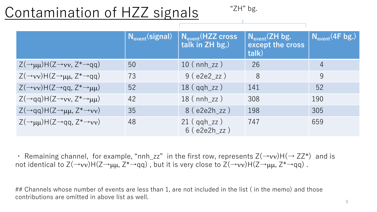#### Contamination of HZZ signals

"ZH" bg.

|                                                                          |    | $\sqrt{\mathsf{N}_{\mathsf{event}}($ signal) $\sqrt{\mathsf{N}_{\mathsf{event}}(}$ HZZ cross<br>talk in ZH bg.) | $N_{\text{event}}(ZH)$ bg.<br>except the cross<br>talk) | $N_{\text{event}}(4F bg.)$ |
|--------------------------------------------------------------------------|----|-----------------------------------------------------------------------------------------------------------------|---------------------------------------------------------|----------------------------|
| $Z(\rightarrow \mu\mu)$ H(Z $\rightarrow$ vv, Z* $\rightarrow$ qq)       | 50 | $10$ (nnh_zz)                                                                                                   | 26                                                      | 4                          |
| $Z(\rightarrow v v)$ H(Z $\rightarrow \mu\mu$ , Z $^* \rightarrow q q$ ) | 73 | 9(e2e2zz)                                                                                                       | 8                                                       | 9                          |
| $Z(\rightarrow v v)$ H(Z $\rightarrow$ qq, Z $^* \rightarrow \mu \mu$ )  | 52 | $18$ (qqh_zz)                                                                                                   | 141                                                     | 52                         |
| $Z(\rightarrow qq)H(Z\rightarrow vv, Z^* \rightarrow \mu\mu)$            | 42 | $18$ (nnh $zz$ )                                                                                                | 308                                                     | 190                        |
| $Z(\rightarrow qq)H(Z\rightarrow \mu\mu, Z^* \rightarrow \nu\nu)$        | 35 | 8(e2e2h zz)                                                                                                     | 198                                                     | 305                        |
| $Z(\rightarrow \mu\mu)H(Z\rightarrow qq, Z^* \rightarrow VV)$            | 48 | $21$ ( $qqh_zz$ )<br>$6(e2e2h_zz)$                                                                              | 747                                                     | 659                        |

• Remaining channel, for example, "nnh\_zz" in the first row, represents  $Z(\rightarrow vv)H(\rightarrow ZZ^*)$  and is not identical to  $Z(\rightarrow vv)H(Z\rightarrow \mu\mu, Z^*\rightarrow qq)$ , but it is very close to  $Z(\rightarrow vv)H(Z\rightarrow \mu\mu, Z^*\rightarrow qq)$ .

## Channels whose number of events are less than 1, are not included in the list ( in the memo) and those contributions are omitted in above list as well.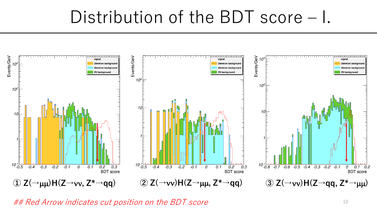### Distribution of the BDT score – I.



## Red Arrow indicates cut position on the BDT score